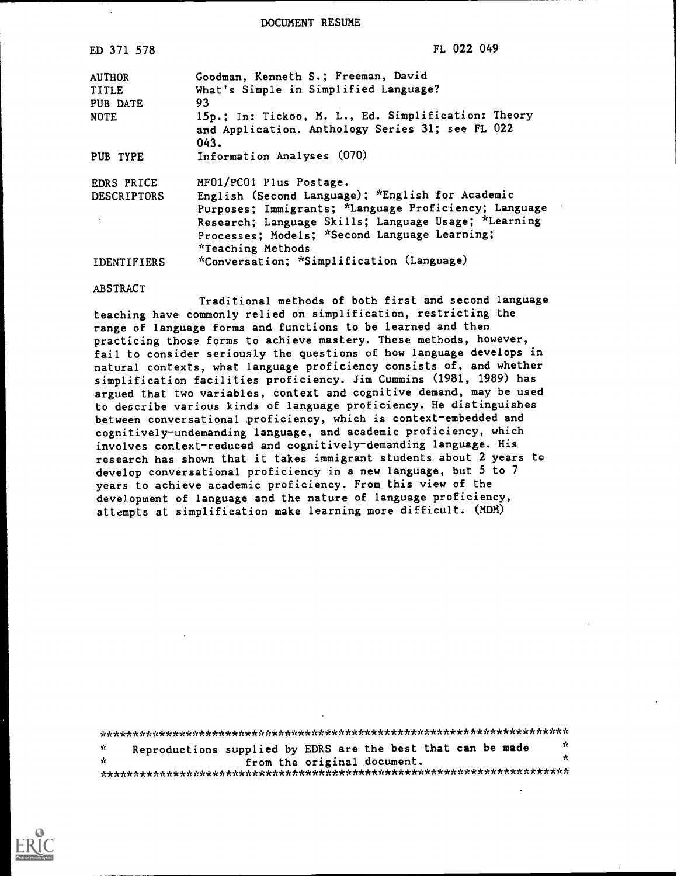DOCUMENT RESUME

| ED 371 578         | FL 022 049                                                                                                                                                                                                                              |
|--------------------|-----------------------------------------------------------------------------------------------------------------------------------------------------------------------------------------------------------------------------------------|
| <b>AUTHOR</b>      | Goodman, Kenneth S.; Freeman, David                                                                                                                                                                                                     |
| <b>TITLE</b>       | What's Simple in Simplified Language?                                                                                                                                                                                                   |
| PUB DATE           | 93                                                                                                                                                                                                                                      |
| <b>NOTE</b>        | 15p.; In: Tickoo, M. L., Ed. Simplification: Theory<br>and Application. Anthology Series 31; see FL 022<br>043.                                                                                                                         |
| PUB TYPE           | Information Analyses (070)                                                                                                                                                                                                              |
| EDRS PRICE         | MF01/PC01 Plus Postage.                                                                                                                                                                                                                 |
| <b>DESCRIPTORS</b> | English (Second Language); *English for Academic<br>Purposes; Immigrants; *Language Proficiency; Language<br>Research; Language Skills; Language Usage; *Learning<br>Processes; Models; *Second Language Learning;<br>*Teaching Methods |
| <b>IDENTIFIERS</b> | *Conversation; *Simplification (Language)                                                                                                                                                                                               |
| ABSTRACT           |                                                                                                                                                                                                                                         |

Traditional methods of both first and second language teaching have commonly relied on simplification, restricting the range of language forms and functions to be learned and then practicing those forms to achieve mastery. These methods, however, fail to consider seriously the questions of how language develops in natural contexts, what language proficiency consists of, and whether simplification facilities proficiency. Jim Cummins (1981, 1989) has argued that two variables, context and cognitive demand, may be used to describe various kinds of language proficiency. He distinguishes between conversational proficiency, which is context-embedded and cognitively-undemanding language, and academic proficiency, which involves context-reduced and cognitively-demanding language. His research has shown that it takes immigrant students about 2 years to develop conversational proficiency in a new language, but 5 to 7 years to achieve academic proficiency. From this view of the development of language and the nature of language proficiency, attempts at simplification make learning more difficult. (MDM)

| - St  | Reproductions supplied by EDRS are the best that can be made | sk i |
|-------|--------------------------------------------------------------|------|
| - sie | from the original document.                                  |      |
|       |                                                              |      |

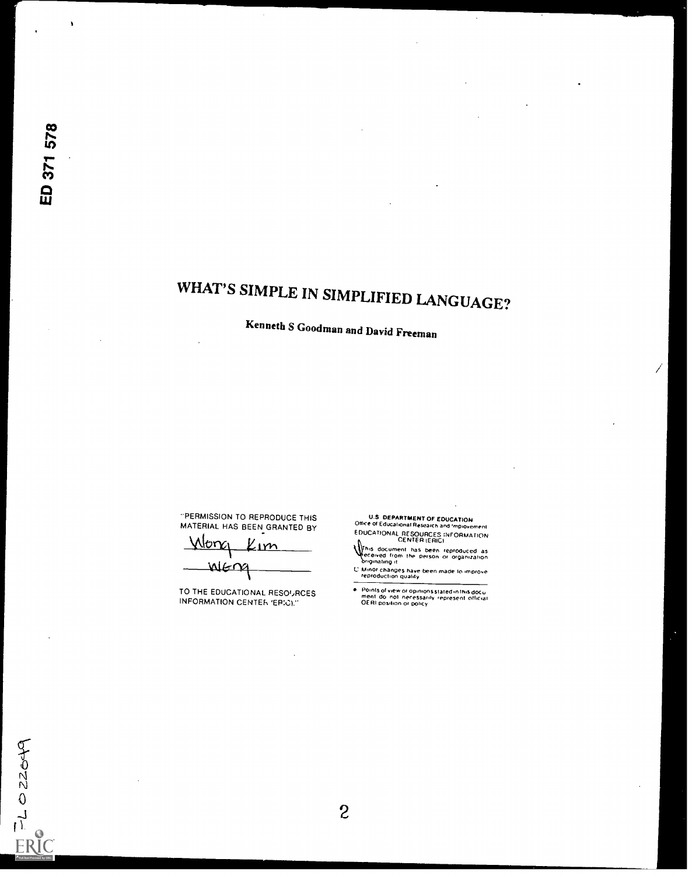$TLOZ2049$ 

**ERIC** 

# WHAT'S SIMPLE IN SIMPLIFIED LANGUAGE?

Kenneth S Goodman and David Freeman

"PERMISSION TO REPRODUCE THIS MATERIAL HAS BEEN GRANTED BY

long <u>Kım</u> MENA

TO THE EDUCATIONAL RESOURCES INFORMATION CENTER 'ERICI."

U.S. DEPARTMENT OF EDUCATION<br>Office of Educational Research and Impionement<br>EDUCATIONAL RESOURCES INFORMATION<br>CENTER (ERIC)

 $\bar{.}$ 

UENTER (ENG)<br>This document has been reproduced as<br>Originating it is the person of organization<br>Conginating it

L' Minor changes have been made to improve

Points of view or opinions stated in this document do not necessarily represent official.<br>OERI position or policy

 $\overline{c}$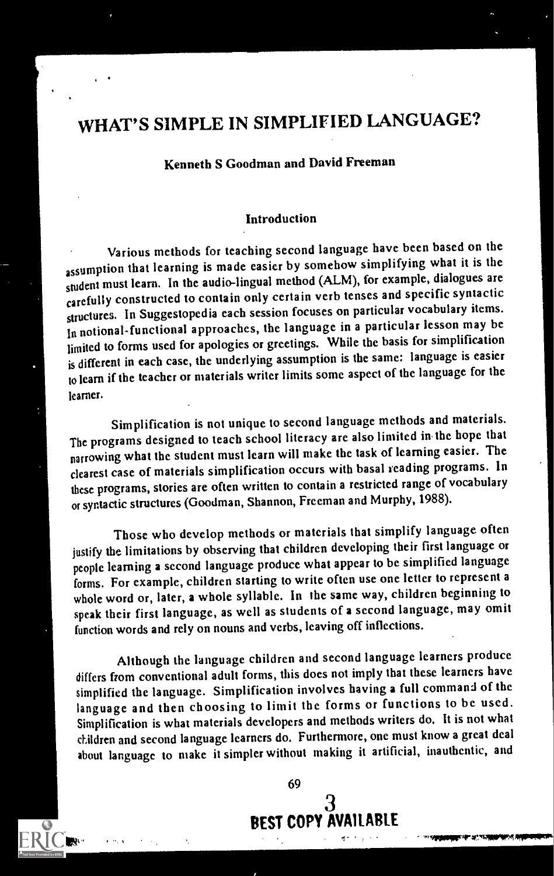## WHAT'S SIMPLE IN SIMPLIFIED LANGUAGE?

#### Kenneth S Goodman and David Freeman

#### Introduction

Various methods for teaching second language have been based on the assumption that learning is made easier by somehow simplifying what it is the student must learn. In the audio-lingual method (ALM), for example, dialogues are carefully constructed to contain only certain verb tenses and specific syntactic structures. In Suggestopedia each session focuses on particular vocabulary items. in notional-functional approaches, the language in a particular lesson may be limited to forms used for apologies or greetings. While the basis for simplification is different in each case, the underlying assumption is the same: language is easier to learn if the teacher or materials writer limits some aspect of the language for the learner.

Simplification is not unique to second language methods and materials. The programs designed to teach school literacy are also limited in the hope that narrowing what the student must learn will make the task of learning easier. The clearest case of materials simplification occurs with basal reading programs. In these programs, stories are often written to contain a restricted range of vocabulary or syntactic structures (Goodman, Shannon, Freeman and Murphy, 1988).

Those who develop methods or materials that simplify language often justify the limitations by observing that children developing their first language or people learning a second language produce what appear to be simplified language forms. For example, children starting to write often use one letter to represent a whole word or, later, a whole syllable. In the same way, children beginning to speak their first language, as well as students of a second language, may omit function words and rely on nouns and verbs, leaving off inflections.

Although thc language children and second language learners produce differs from conventional adult forms, this does not imply that these learners have simplified the language. Simplification involves having a full command of the language and then choosing to limit the forms or functions to be used. Simplification is what materials developers and methods writers do. It is not what aildren and second language learners do. Furthermore, one must know a great deal about language to make it simpler without making it artificial, inauthentic, and



--"VMPRIFIrzrnAIMPIVAMIPIPIPM,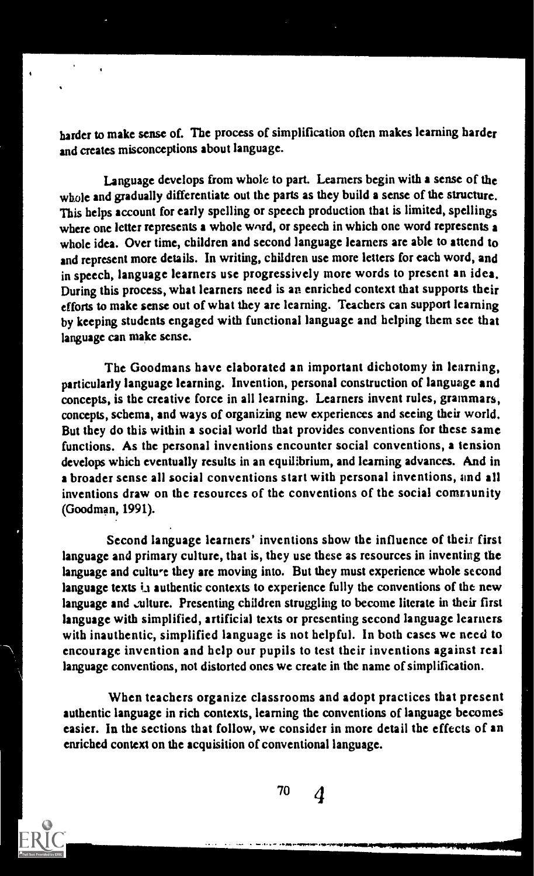harder to make sense of. The process of simplification often makes learning harder and creates misconceptions about language.

Language develops from whole to part. Learners begin with a sense of the whole and gradually differentiate out the parts as they build a sense of the structure. This helps account for early spelling or speech production that is limited, spellings where one letter represents a whole word, or speech in which one word represents a whole idea. Over time, children and second language learners are able to attend to and represent more details. In writing, children use more letters for each word, and in speech, language learners use progressively more words to present an idea. During this process, what learners need is an enriched context that supports their efforts to make sense out of what they are learning. Teachers can support learning by keeping students engaged with functional language and helping them see that language can make sense.

The Goodmans have elaborated an important dichotomy in learning, particularly language learning. Invention, personal construction of language and concepts, is the creative force in all learning. Learners invent rules, grammars, concepts, schema, and ways of organizing new experiences and seeing their world. But they do this within a social world that provides conventions for these same functions. As the personal inventions encounter social conventions, a tension develops which eventually results in an equilibrium, and learning advances. And in a broader sense all social conventions start with personal inventions, and all inventions draw on the resources of the conventions of the social comnunity (Goodman, 1991).

Second language learners' inventions show the influence of their first language and primary culture, that is, they use these as resources in inventing the language and cultwe they are moving into. But they must experience whole second language texts  $i_A$  authentic contexts to experience fully the conventions of the new language and culture. Presenting children struggling to become literate in their first language with simplified, artificial texts or presenting second language learners with inauthentic, simplified language is not helpful. In both cases we need to encourage invention and help our pupils to test their inventions against real language conventions, not distorted ones we create in thc name of simplification.

When teachers organize classrooms and adopt practices that present authentic language in rich contexts, learning the conventions of language becomes easier. In the sections that follow, we consider in more detail the effects of an enriched context on the acquisition of conventional language.

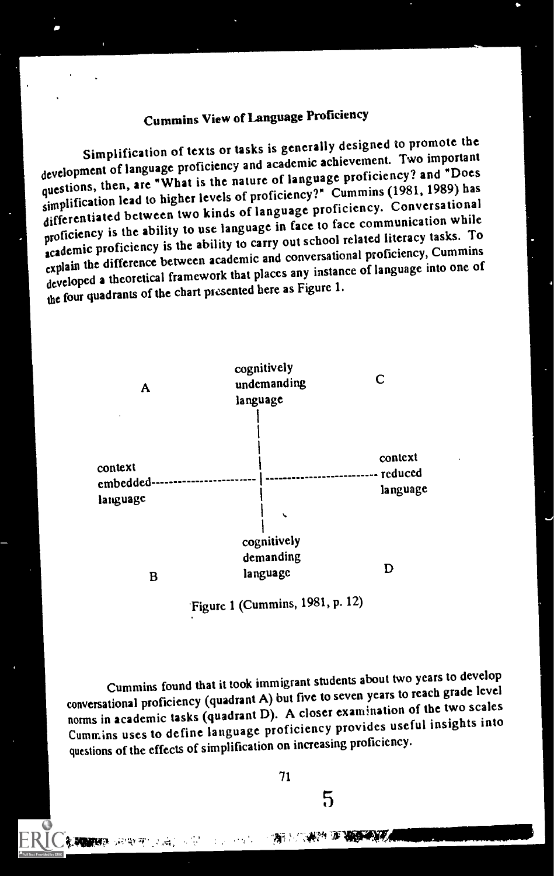## Cummins View of Language Proficiency

Simplification of texts or tasks is generally designed to promote the development of language proficiency and academic achievement. Two important questions, then, are "What is the nature of language proficiency? and "Does simplification lead to higher levels of proficiency?" Cummins (1981, 1989) has differentiated between two kinds of language proficiency. Conversational proficiency is the ability to use language in face to face communication while academic proficiency is the ability to carry out school related literacy tasks. To explain the difference between academic and conversational proficiency, Cummins developed a theoretical framework that places any instance of language into one of the four quadrants of the chart presented here as Figure 1.



Figure 1 (Cummins, 1981, p. 12)

Cummins found that it took immigrant students about two years to develop conversational proficiency (quadrant A) but five to seven years to reach grade level norms in academic tasks (quadrant D). A closer examination of the two scales Cummins uses to define language proficiency provides useful insights into questions of the effects of simplification on increasing proficiency.

71

5

-04c4-470547054888888884 网络柳 化酶之间的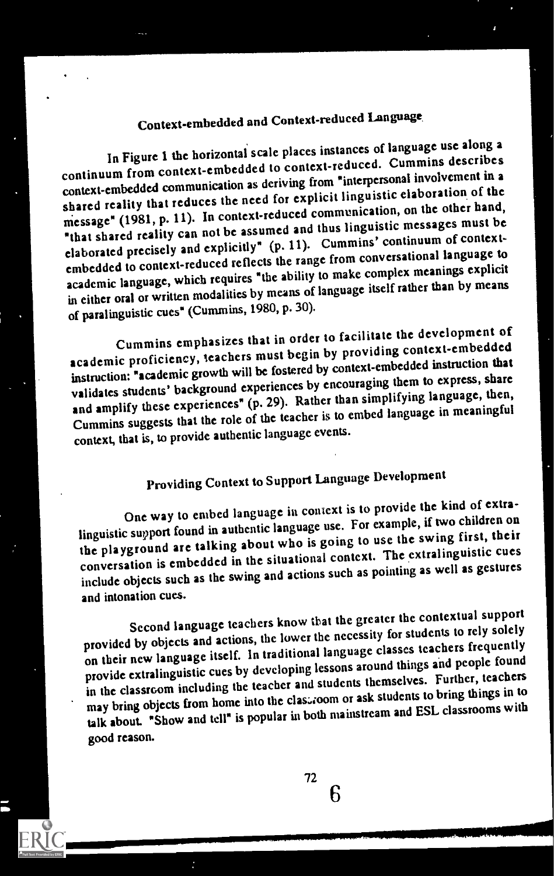## Context-embedded and Context-reduced Language

In Figure 1 the horizontal scale places instances of language use along a continuum from context-embedded to context-reduced. Cummins describes context-embedded communication as deriving from \*interpersonal involvement in a shared reality that reduces the need for explicit linguistic elaboration of the message" (1981, p. 11). In context-reduced communication, on the other band, "that shared reality can not be assumed and tbus linguistic messages must be elaborated precisely and explicitly" (p. 11). Cummins' continuum of contextembedded to context-reduced reflects the range from conversational language to academic language, which requires "the ability to make complex meanings explicit in either oral or written modalities by means of language itself rather than by means of paralinguistic cues" (Cummins, 1980, p. 30).

Cummins emphasizes that in order to facilitate the development of academic proficiency, teachers must begin by providing context-embedded instruction: "academic growth will be fostered by context-embedded instruction that validates students' background experiences by encouraging them to express, share and amplify these experiences" (p. 29). Rather than simplifying language, then, Cummins suggests that the role of the teacher is to embed language in meaningful context, that is, to provide authentic language events.

## Providing Context to Support Language Development

One way to embed language in context is to provide the kind of extralinguistic support found in authentic language use. For example, if two children on the playground are talking about who is going to use the swing first, their conversation is embedded in the situational context. The extralinguistic cues include objects such as the swing and actions such as pointing as well as gestures and intonation cues.

Second language teachers know that the greater the contextual support provided by objects and actions, the lower the necessity for students to rely solely on their new language itself. In traditional language classes teachers frequently provide extralinguistic cues by developing lessons around things and people found in the classroom including the teacher and students themselves. Further, teachers may bring objects from home into the clastroom or ask students to bring things in to talk about. "Show and tell" is popular in both mainstream and ESL classrooms with good reason.

IMTP,

IMMIr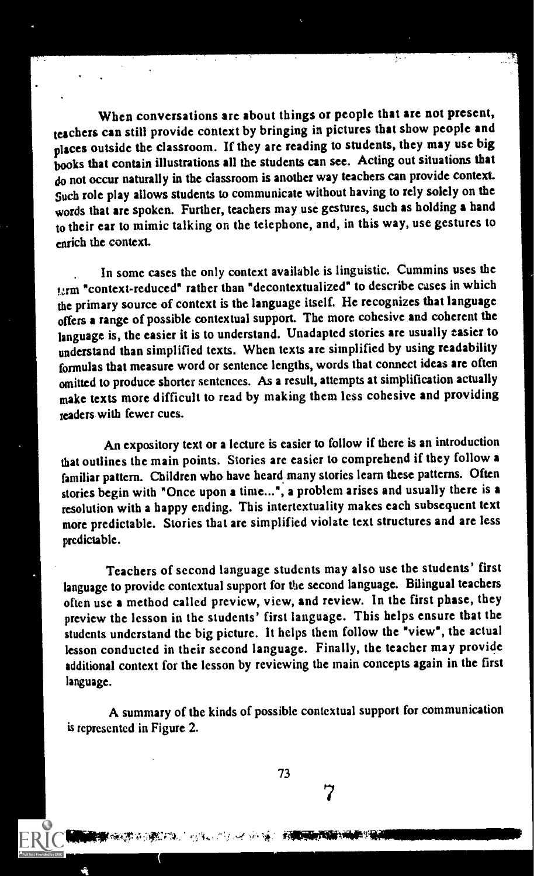When conversations are about things or people that are not present, teachers can still provide context by bringing in pictures that show people and places outside the classroom. If they are reading to students, they may use big books that contain illustrations all the students can see. Acting out situations that do not occur naturally in the classroom is another way teachers can provide context. such role play allows students to communicate without having to rely solely on the words that are spoken. Further, teachers may use gestures, such as holding a hand to their ear to mimic talking on the telephone, and, in this way, use gestures to enrich the context.

. In some cases the only context available is linguistic. Cummins uses the term "context-reduced" rather than "decontextualized" to describe cases in which the primary source of context is the language itself. He recognizes that language offers a range of possible contextual support. The more cohesive and coherent the language is, the easier it is to understand. Unadaptcd stories are usually easier to understand than simplified texts. When texts are simplified by using readability formulas that measure word or sentence lengths, words that connect ideas arc often omitted to produce shorter sentences. As a result, attempts at simplification actually make texts more difficult to read by making them less cohesive and providing teaders with fewer cues.

An expository text or a lecture is easier to follow if there is an introduction that outlines the main points. Stories are easier to comprehend if they follow a familiar pattern. Children who have heard many stories learn these patterns. Often stories begin with "Once upon a time...", a problem arises and usually there is a resolution with a happy ending. This intertextuality makes each subsequent text more predictable. Stories that are simplified violate text structures and are less predictable.

Teachers of second language students may also use the students' first language to provide contextual support for the second language. Bilingual teachers often use a method called preview, view, and review. In the first phase, they preview the lesson in the students' first language. This helps ensure that the students understand the big picture. It helps them follow the "view", the actual lesson conducted in their second language. Finally, the teacher may provide additional context for the lesson by reviewing the main concepts again in the first language.

A summary of the kinds of possible contextual support for communication is represented in Figure 2.

73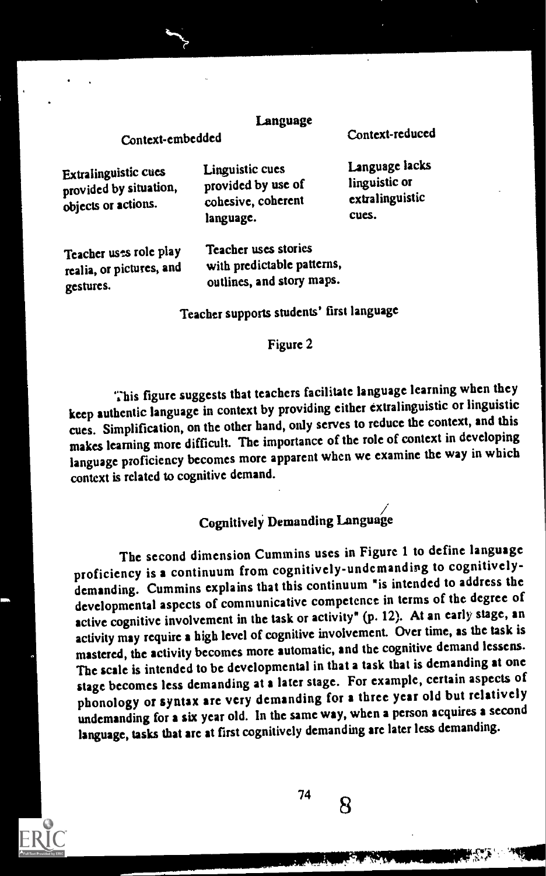#### Language

Context-embedded

Context-reduced

| Extralinguistic cues<br>linguistic or<br>provided by use of<br>provided by situation,<br>extralinguistic<br>cohesive, coherent<br>objects or actions.<br>cues.<br>language. |
|-----------------------------------------------------------------------------------------------------------------------------------------------------------------------------|
|-----------------------------------------------------------------------------------------------------------------------------------------------------------------------------|

Teacher uses role play realia, or pictures, and gestures.

Teacher uses stories with predictable patterns, outlines, and story maps.

Teacher supports students' first language

#### Figure 2

This figure suggests that teachers facilitate language learning when they keep authentic language in context by providing either extralinguistic or linguistic cues. Simplification, on the other hand, only serves to reduce the context, and this makes learning more difficult. The importance of the role of context in developing language proficiency becomes more apparent when we examine the way in which context is related to cognitive demand.

### Cognitively Demanding Language

The second dimension Cummins uses in Figure 1 to define language proficiency is a continuum from cognitively-undemanding to cognitivelydemanding. Cummins explains that this continuum "is intended to address the developmental aspects of communicative competence in terms of the degree of active cognitive involvement in the task or activity" (p. 12). At an early stage, an activity may require a high level of cognitive involvement. Over time, as the task is mastered, the activity becomes more automatic, and the cognitive demand lessens. The scale is intended to be developmental in that a task that is demanding at one stage becomes less demanding at a later stage. For example, certain aspects of phonology or syntax are very demanding for a three year old but relatively undemanding for a six year old. In the same way, when a person acquires a second language, tasks that are at first cognitively demanding arc later less demanding.

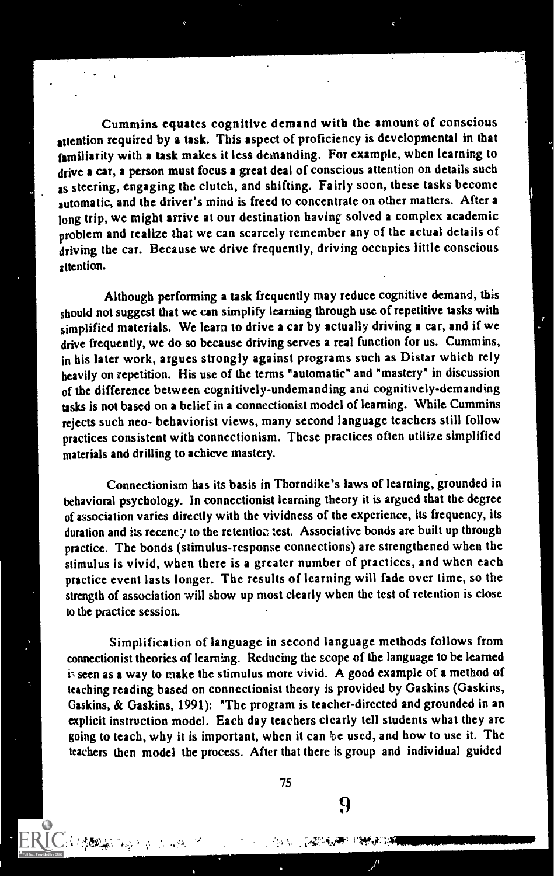Cummins equates cognitive demand with the amount of conscious attention required by a task. This aspect of proficiency is developmental in that familiarity with a task makes it less demanding. For example, when learning to drive a car, a person must focus a great deal of conscious attention on details such as steering, engaging the clutch, and shifting. Fairly soon, these tasks become automatic, and the driver's mind is freed to concentrate on other matters. After a long trip, we might arrive at our destination having solved a complex academic problem and realize that we can scarcely remember any of the actual details of driving the car. Because we drive frequently, driving occupies little conscious attention.

Although performing a task frequently may reduce cognitive demand, this should not suggest that we can simplify learning through use of repetitive tasks with simplified materials. We learn to drive a car by actually driving a car, and if we drive frequently, we do so because driving serves a real function for us. Cummins, in his later work, argues strongly against programs such as Distar which rely heavily on repetition. His use of the terms "automatic" and "mastery" in discussion of the difference between cognitively-undemanding and cognitively-demanding tasks is not based on a belief in a connectionist model of learning. While Cummins rejects such neo- behaviorist views, many second language teachers still follow practices consistent with connectionism. These practices often utilize simplified materials and drilling to achieve mastery.

Connectionism has its basis in Thorndike's laws of learning, grounded in behavioral psychology. In connectionist learning theory it is argued that the degree of association varies directly with the vividness of the experience, its frequency, its duration and its recenc.; to the retention test. Associative bonds are built up through practice. The bonds (stimulus-response connections) arc strengthened when the stimulus is vivid, when there is a greater number of practiccs, and when each practice event lasts longer. The results of learning will fade over time, so the strength of association will show up most clearly when the test of retention is close to the practice session.

Simplification of language in second language methods follows from connectionist theories of learning. Reducing the scope of the language to be learned i; seen as a way to make the stimulus more vivid. A good example of a method of teaching reading based on conncctionist theory is provided by Gaskins (Gaskins, Gaskins, & Gaskins, 1991): "The program is teacher-directed and grounded in an explicit instruction model. Each day teachers clearly tell students what they are going to teach, why it is important, when it can be used, and how to use it. The teachers then model the process. After that there is group and individual guided

75

9

',i.4111111P1111.1111111111111111111111111111111111111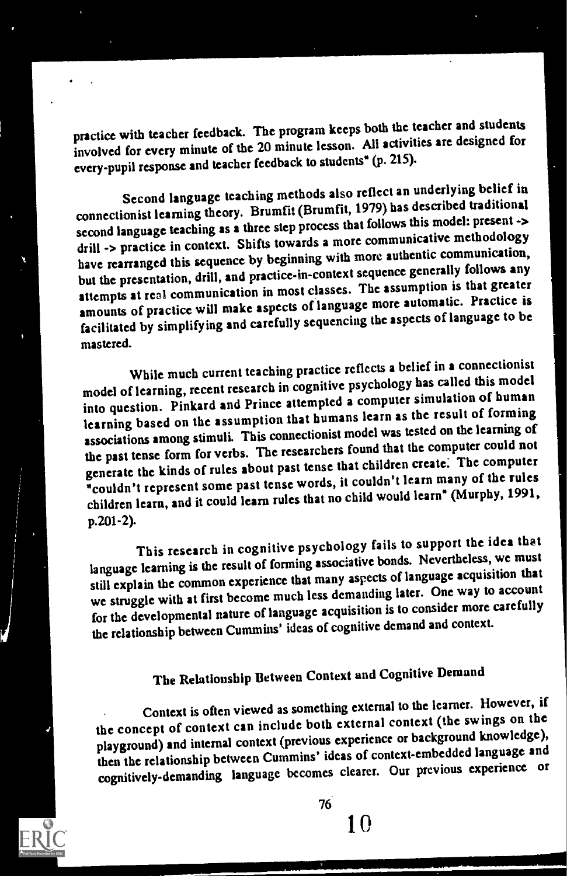practice with teacher feedback. The program keeps both the teacher and students involved for every minute of the 20 minute lesson. All activities are designed for every-pupil response and teacher feedback to students" (p. 215).

Second language teaching methods also reflect an underlying belief in connectionist learning theory. Brumfit (Brumfit, 1979) has described traditional second language teaching as a three step process that follows this model: present -> drill -> practice in context. Shifts towards a more communicative methodology have rearranged this sequence by beginning with more authentic communication, but the presentation, drill, and practice-in-context sequence generally follows any attempts at real communication in most classes. The assumption is that greater amounts of practice will make aspects of language more automatic. Practice is facilitated by simplifying and carefully sequencing the aspects of language to be mastered.

While much current teaching practice reflects a belief in a connectionist model of learning, recent research in cognitive psychology has called this model into question. Pinkard and Prince attempted a computer simulation of human learning based on the assumption that humans learn as the result of forming associations among stimuli. This connectionist model was tested on the learning of the past tense form for verbs. The researchers found that the computer could not generate the kinds of rules about past tense that children create. The computer 'couldn't represent some past tense words, it couldn't learn many of the rules children learn, and it could learn rules that no child would learn' (Murphy, 1991, p.201-2).

This research in cognitive psychology fails to support the idea that language learning is the result of forming associative bonds. Nevertheless, we must still explain the common experience that many aspects of language acquisition that we struggle with at first become much less demanding later. One way to account for thc developmental nature of language acquisition is to consider more carefully the relationship between Cummins' ideas of cognitive demand and context.

## The Relationship Between Context and Cognitive Demand

Context is often viewed as something external to the learner. However, if the concept of context can include both external context (the swings on the playground) and internal context (previous experience or background knowledge), then the relationship between Cummins' ideas of context-embedded language and cognitively-demanding language becomes clearer. Our previous experience or



76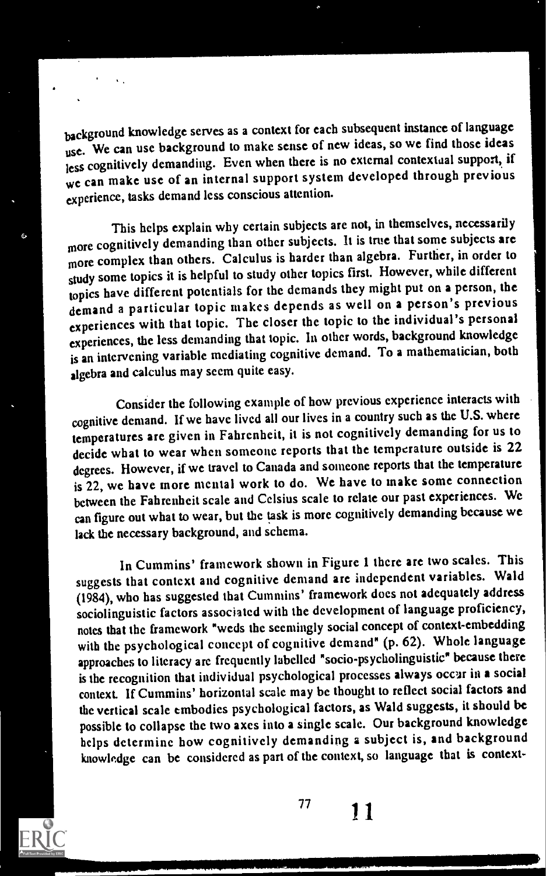background knowledge serves as a context for each subsequent instance of language use. We can use background to make sense of new ideas, so we find those ideas jess cognitively demanding. Even when there is no external contextual support, if we can make use of an internal support system developed through previous experience, tasks demand less conscious attention.

This helps explain why certain subjects are not, in themselves, necessarily more cognitively demanding than other subjects. It is true that some subjects are more complex than others. Calculus is harder than algebra. Further, in order to study some topics it is helpful to study other topics first. However, while different topics have different potentials for the demands tbey might put on a person, the demand a particular topic makes depends as well on a person's previous experiences with that topic. The closer the topic to the individual's personal experiences, the less demanding that topic. In other words, background knowledge is an intervening variable mediating cognitive demand. To a mathematician, both algebra and calculus may seem quite easy.

Consider the following example of how previous experience interacts with cognitive demand. If we have lived all our lives in a country such as the U.S. where temperatures are given in Fahrenheit, it is not cognitively demanding for us to decide what to wear when someone reports that the temperature outside is 22 degrees. However, if we travel to Canada and someone reports that the temperature is 22, we have more mental work to do. We have to make some connection between the Fahrenheit scale and Celsius scale to relate our past experiences. We can figure out what to wear, but the task is more cognitively demanding because we lack the necessary background, and schema.

In Cummins' framework shown in Figure 1 there are two scales. This suggests that context and cognitive demand are independent variables. Wald (1984), who has suggested that Cummins' framework does not adequately address sociolinguistic factors associated with the development of language proficiency, notes that the framework "weds thc seemingly social concept of context-embedding with the psychological concept of cognitive demand" (p. 62). Whole language approaches to literacy are frequently labelled "socio-psycholinguistic" because there is the recognition that individual psychological processes always occur in a social context. If Cummins' horizontal scale may bc thought to reflect social factors and the vertical scale embodies psychological factors, as Wald suggests, it should be possible to collapse the two axes into a single scale. Our background knowledge helps determine how cognitively demanding a subject is, and background knowledge can be considered as part of the context, so language that is context-



.<br>.<br>.

77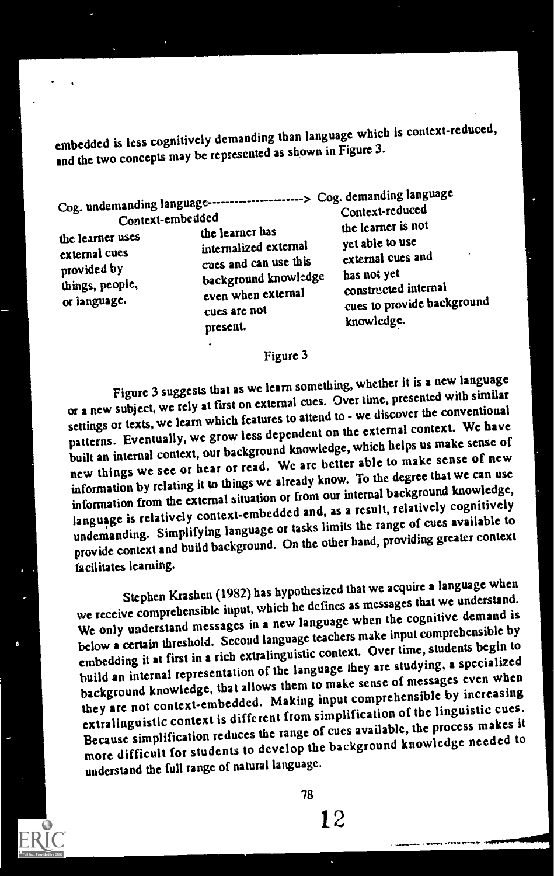embedded is less cognitively demanding than language which is context-reduced, and the two concepts may be represented as shown in Figure 3.

Cog. undemanding language > Cog. demanding language

external cues internalized external yet able to use<br>provided by cues and can use this external cues and provided by cues and can use this external cues provided by cues and can use this external cues things, people, things, people,<br>
or language. The background knowledge has not yet<br>
or language.<br>
or language.<br>  $\frac{1}{2}$  and  $\frac{1}{2}$  constructed internal<br>  $\frac{1}{2}$  constructed internal present. knowledge.

Context-embedded Context-reduced Context-embedded<br>the learner uses the learner has the learner is not<br>external cues internalized external or language.<br>
even when external constructed internal<br>
cues arc not cues to provide background<br>
cues to provide background

#### Figure 3

Figure 3 suggests that as we learn something, whether it is a new language or a new subject, we rely at first on external cues. Over time, presented with similar settings or texts, we learn which features to attend to - we discover the conventional patterns. Eventually, we grow less dependent on the external context. We have built an internal context, our background knowledge, which helps us make sense of new things we see or hear or read. We are better able to make sense of new information by relating it to things we already know. To the degree that we can use information from the external situation or from our internal background knowledge, language is relatively context-embedded and, as a result, relatively cognitively undemanding. Simplifying language or tasks limits the range of cues available to provide context and build background. On the other hand, providing greater context facilitates learning.

Stephen Krashen (1982) has hypothesized that we acquire a language when we receive comprehensible input, which he defmes as messages that we understand. We only understand messages in a new language when the cognitive demand is below a certain threshold. Second language teachers make input comprehensible by embedding it at first in a rich extralinguistic context. Over time, students begin to build an internal representation of the language they are studying, a specialized background knowledge, that allows them to make sense of messages even when they are not context-embedded. Making input comprehensible by increasing extralinguistic context is different from simplification of the linguistic cues. Because simplification reduces the range of cues available, the process makes it more difficult for students to develop the background knowledge needed to understand the full range of natural language.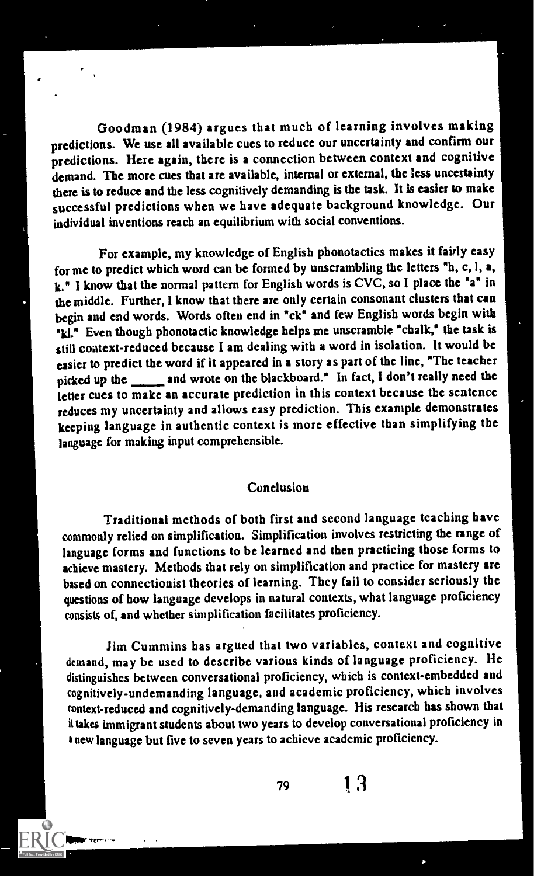Goodman (1984) argues that much of learning involves making predictions. We use all available cues to reduce our uncertainty and confirm our predictions. Here again, there is a connection between context and cognitive demand. The more cues that arc available, internal or external, the less uncertainty there is to reduce and the less cognitively demanding is the task. It is easier to make successful predictions when we have adequate background knowledge. Our individual inventions reach an equilibrium with social conventions.

For example, my knowledge of English phonotactics makes it fairly easy for me to predict which word can be formed by unscrambling the letters "h, c, I, a,  $k$ ." I know that the normal pattern for English words is CVC, so I place the "a" in the middle. Further, I know that there are only certain consonant clusters that can begin and end words. Words often end in "ck" and few English words begin with "ki." Even though phonotactic knowledge helps me unscramble "chalk," the task is still context-reduced because I am dealing with a word in isolation. It would be easier to predict the word if it appeared in a story as part of the line, "The teacher picked up the \_\_\_\_\_ and wrote on the blackboard." In fact, I don't really need the letter cues to make an accurate prediction in this context because the sentence reduces my uncertainty and allows easy prediction. This example demonstrates keeping language in authentic context is more effective than simplifying the language for making input comprehensible.

#### Conclusion

Traditional methods of both first and second language teaching have commonly relied on simplification. Simplification involves restricting the range of language forms and functions to be learned and then practicing those forms to achieve mastery. Methods that rely on simplification and practice for mastery are based on connectionist theories of learning. They fail to consider seriously the questions of how language develops in natural contexts, what language proficiency consists of, and whether simplification facilitates proficiency.

Jim Cummins has argued that two variables, context and cognitive demand, may be used to describe various kinds of language proficiency. He distinguishes between conversational proficiency, which is context-embedded and cognitively-undemanding language, and academic proficiency, which involves context-reduced and cognitively-demanding language. His research has shown that it takes immigrant students about two years to develop conversational proficiency in anew language but five to seven years to achieve academic proficiency.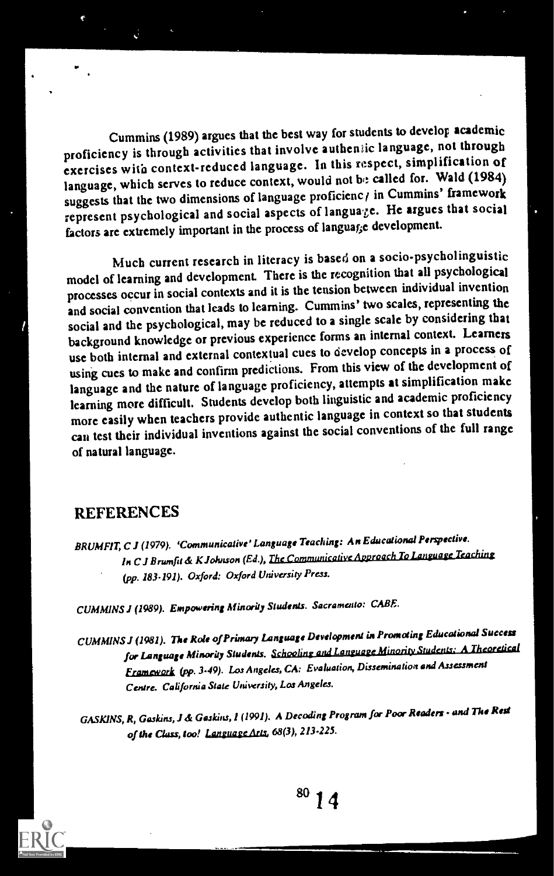Cummins (1989) argues that the best way for students to develof academic proficiency is through activities that involve autheniic language, not through exercises with context-reduced language. In this respect, simplification of language, which serves to reduce context, would not be called for. Wald (1984) suggests that the two dimensions of language proficienc  $\prime$  in Cummins' framework represent psychological and social aspects of languaze. He argues that social factors are extremely important in the process of languarce development.

Much current research in literacy is based on a socio-psycholinguistic model of learning and development. There is the recognition that all psychological processes occur in social contexts and it is the tension between individual invention and social convention that leads to learning. Cummins' two scales, representing the social and the psychological, may be reduced to a single scale by considering that background knowledge or previous experience forms an internal context. Learners use both internal and external contextual cues to develop concepts in a process of using cues to make and confirm predictions. From this view of the development of language and the nature of language proficiency, attempts at simplification make learning more difficult. Students develop both linguistic and academic proficiency more easily when teachers provide authentic language in context so that students can test their individual inventions against the social conventions of the full range of natural language.

#### **REFERENCES**

BRUMFIT, C J (1979). 'Communicative' Language Teaching: An Educational Perspective. In C J Brumfit & K Johnson (Ed.), The Communicative Approach To Language Teaching (pp. 183-191). Oxford: Oxford University Press.

CUMMINS I (1989). Empowering AfhwrityStudents. Sacramento: CABE.

CUMMINS! (1981). The Role of Primary LAnguage Development in Promoting Educational Success for Language Minority Students. Schooling and Language Minority Student Framework (pp. 3-49). Los Angeles, CA: Evaluation, Dissemination and Assessment Centre. California State University, Los Angeles.

GASK1NS, R, Gaskins, J & Gaskitu, 1 (1991). A Decoding Program for Poor Readers - and The Rest of the Class, too! Language Arts, 68(3), 213-225.